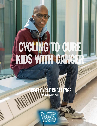# CYCLING TO CURE KIDS WITH CANCER

**GREAT CYCLE CHALLENGE** 2021 IMPACT REPORT

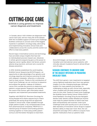### CUTTING-EDGE CARE

SickKids is using genetics to improve cancer diagnosis and treatment.

 In Canada, about 1,400 children are diagnosed with cancer each year, and too many die of the disease. With the incredible support of Great Cycle Challenge, SickKids continues to uncover some of the biggest mysteries in paediatric oncology today, advocating and implementing innovative clinical trials and collaborations across the country and the world in an effort to treat every patient.

Recent leaps in biomedical science and technology have provided unique insights that have led to individualized precision-based care. Advances in whole-genome sequencing give us the power to diagnose cancer rapidly, detect risk factors, prevent adverse drug reactions, and even set a course for disease prevention.

In 2016, SickKids established the world-leading SickKids Cancer Sequencing (KiCS) Program—an opportunity to take advantage of our genetics and oncology expertise and improve outcomes for kids with relapsed, metastatic, refractory, or otherwise hard-to-treat cancers. Thanks to the contributions of Great Cycle Challenge, we can continue to sequence and analyze the genetic makeup of children's cancer from outside the province to determine each patient's unique genetic fingerprint and identify the cause of the tumour, gain information about prognosis, and implement personalized treatments.

Together with PROFYLE, (Precision Oncology for Young People) KiCS shares sequencing to match potentially life-saving drugs that are approved, studied in clinical trials, made available through single-patient studies, or by compassionate access from pharmaceutical companies. PROFYLE is a national group of research and funding partners working together to molecularly profile patient tumours and find better therapies to treat them.



Since KiCS began, we have enrolled over 500 Canadian and international cancer patients, with clinically relevant mutations found in almost 85 per cent of cases.

#### SICKKIDS CONTINUES TO UNCOVER SOME OF THE BIGGEST MYSTERIES IN PAEDIATRIC ONCOLOGY TODAY.

The shift from generic, toxic treatments to targeted cancer-fighting medication born from new genetic insights is an ever-changing landscape. Although hopeful, for many patients and families, it's challenging to keep up with clinical trials, especially when coupled with the daily pressures of taking care of a sick child. Thanks to Great Cycle Challenge, the SickKids Garron Family Cancer Centre (GFCC) hired Paediatric Oncology Drug Access Navigator, Sandra Judd. Sandra creates detailed yet intuitive road maps for patient families to follow that have been extraordinarily well received. Great Cycle Challenge funds were quickly put to use to build a data repository of innovative cancer drugs to support Sandra's ability to help even more. Now, she can streamline and align GFCC's efforts to acquire more specific medications that our patients need.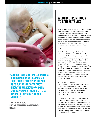

"SUPPORT FROM GREAT CYCLE CHALLENGE IS CHANGING HOW WE DIAGNOSE AND TREAT CANCER PATIENTS BY HELPING US TO PURSUE SOME OF THE MOST INNOVATIVE PARADIGMS OF CANCER CARE HAPPENING AT SICKKIDS—LIKE IMMUNOTHERAPY AND PRECISION MEDICINE."

 -DR. JIM WHITLOCK, DIRECTOR, GARRON FAMILY CANCER CENTRE **SICKKIDS** 

#### A DIGITAL FRONT DOOR TO CANCER TRIALS

The Canadian clinical trial landscape is fraught with challenges and rife with opportunity. A cancer clinical trial has been described as another chance at life for kids who have failed traditional cancer therapies. But families and health care workers across the country need better access and communication for these trials. Thanks to Great Cycle Challenge and Clinician-Scientist Fellow Dr. Sarah Cohen-Gogo, SickKids has found a way to help.

Dr. Cohen-Gogo is originally from France and joined the GFCC team in 2018. Soon after her arrival, Dr. Cohen-Gogo brought forth an idea to fill information and communication gaps in the cancer clinical trial space. She suggested the GFCC develop a Canadian version of U-Link—the already successful French web-based model of care and the first and foremost up-to-date cancer clinical trials information source for hospital care providers and families. U-Link also assists families with travel and accommodation costs when accessing clinical trials outside their local treatment centres.

With tremendous support from French developers and the invaluable time and input of national groups like Children's Cancer & Blood Disorders (C17) and Advocacy for Canadian Childhood Oncology Research Network (Ac2orn), the GFCC decided to launch U-Link.

Great Cycle Challenge has been central in helping to donate funds used to initiate and optimize this helpful tool—a testament to the collaborative, compassionate, and novel care that we initiate and implement with support from generous donors like you. U-Link will be up and running soon. For that, we have Great Cycle Challenge to thank.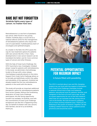#### RARE BUT NOT FORGOTTEN

SickKids fights every type of cancer, no matter how rare.

Retinoblastoma is a rare form of paediatric eye cancer, often found in very young children. SickKids plays a crucial role as a national referral centre for the management of retinoblastoma patients who require the care of a specialized, multidisciplinary team of oncologists and ophthalmologists.

As a leader in the field, the GFCC paves the way for new treatment options for patients with rare cancers like this. In fact, many developments in rare cancer research can be translated into better care for more common types of cancers and other illnesses.

With the help of Great Cycle Challenge, the GFCC launched a new, investigator-initiated phase I study for patients with retinoblastoma. In the study, we administer chemotherapy locally to the eye with a slow-release chemoplaque surgically placed on the sclera. Support from Great Cycle Challenge allows us to formally and definitively confirm the safety and tolerability of this approach. SickKids has already treated the first two retinoblastoma patients in the world with this device.

This study will provide an important additional therapeutic option for retinoblastoma patients from across Canada. Without the fundraising dedication of Great Cycle Challenge participants, this life-saving opportunity wouldn't be available. At SickKids, and with the commitment of Great Cycle Challenge, exceptional care like this is happening every day. On behalf of children with rare cancers, their families, and all of us at SickKids, thank you.



#### POTENTIAL OPPORTUNITIES FOR MAXIMUM IMPACT

A future filled with possibility.

The GFCC is excited about new and life-changing projects we can fund with the support of donations from Great Cycle Challenge. Examples include a national clinical trial to help cure leukemia patients, educational tools for patients, families, and caregivers in the form of a tech-savvy app, as well as a grant opportunity for out-of-the-box research ideas that we can translate into life-saving clinical care at the beside. We look forward to updating you on these exciting initiatives soon. Thank you for believing in the power of research. Together, we are building a better future for cancer patients across provinces and around the world.